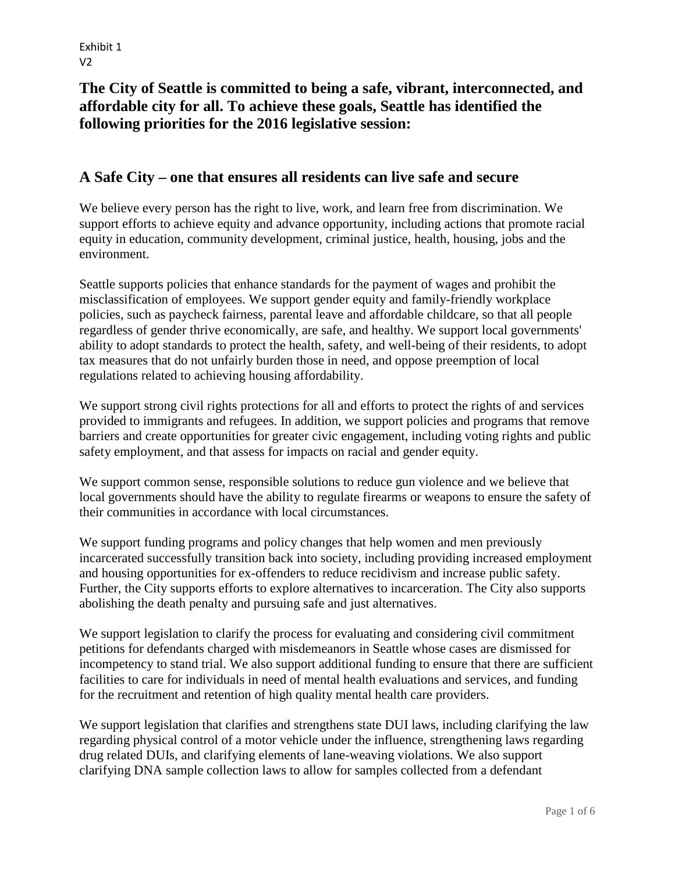# **The City of Seattle is committed to being a safe, vibrant, interconnected, and affordable city for all. To achieve these goals, Seattle has identified the following priorities for the 2016 legislative session:**

#### **A Safe City – one that ensures all residents can live safe and secure**

We believe every person has the right to live, work, and learn free from discrimination. We support efforts to achieve equity and advance opportunity, including actions that promote racial equity in education, community development, criminal justice, health, housing, jobs and the environment.

Seattle supports policies that enhance standards for the payment of wages and prohibit the misclassification of employees. We support gender equity and family-friendly workplace policies, such as paycheck fairness, parental leave and affordable childcare, so that all people regardless of gender thrive economically, are safe, and healthy. We support local governments' ability to adopt standards to protect the health, safety, and well-being of their residents, to adopt tax measures that do not unfairly burden those in need, and oppose preemption of local regulations related to achieving housing affordability.

We support strong civil rights protections for all and efforts to protect the rights of and services provided to immigrants and refugees. In addition, we support policies and programs that remove barriers and create opportunities for greater civic engagement, including voting rights and public safety employment, and that assess for impacts on racial and gender equity.

We support common sense, responsible solutions to reduce gun violence and we believe that local governments should have the ability to regulate firearms or weapons to ensure the safety of their communities in accordance with local circumstances.

We support funding programs and policy changes that help women and men previously incarcerated successfully transition back into society, including providing increased employment and housing opportunities for ex-offenders to reduce recidivism and increase public safety. Further, the City supports efforts to explore alternatives to incarceration. The City also supports abolishing the death penalty and pursuing safe and just alternatives.

We support legislation to clarify the process for evaluating and considering civil commitment petitions for defendants charged with misdemeanors in Seattle whose cases are dismissed for incompetency to stand trial. We also support additional funding to ensure that there are sufficient facilities to care for individuals in need of mental health evaluations and services, and funding for the recruitment and retention of high quality mental health care providers.

We support legislation that clarifies and strengthens state DUI laws, including clarifying the law regarding physical control of a motor vehicle under the influence, strengthening laws regarding drug related DUIs, and clarifying elements of lane-weaving violations. We also support clarifying DNA sample collection laws to allow for samples collected from a defendant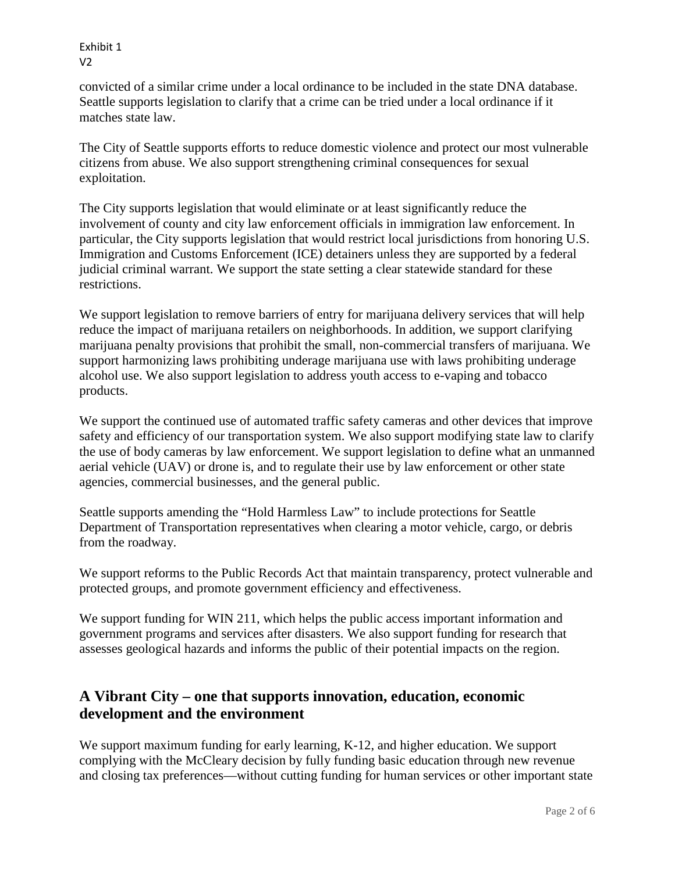convicted of a similar crime under a local ordinance to be included in the state DNA database. Seattle supports legislation to clarify that a crime can be tried under a local ordinance if it matches state law.

The City of Seattle supports efforts to reduce domestic violence and protect our most vulnerable citizens from abuse. We also support strengthening criminal consequences for sexual exploitation.

The City supports legislation that would eliminate or at least significantly reduce the involvement of county and city law enforcement officials in immigration law enforcement. In particular, the City supports legislation that would restrict local jurisdictions from honoring U.S. Immigration and Customs Enforcement (ICE) detainers unless they are supported by a federal judicial criminal warrant. We support the state setting a clear statewide standard for these restrictions.

We support legislation to remove barriers of entry for marijuana delivery services that will help reduce the impact of marijuana retailers on neighborhoods. In addition, we support clarifying marijuana penalty provisions that prohibit the small, non-commercial transfers of marijuana. We support harmonizing laws prohibiting underage marijuana use with laws prohibiting underage alcohol use. We also support legislation to address youth access to e-vaping and tobacco products.

We support the continued use of automated traffic safety cameras and other devices that improve safety and efficiency of our transportation system. We also support modifying state law to clarify the use of body cameras by law enforcement. We support legislation to define what an unmanned aerial vehicle (UAV) or drone is, and to regulate their use by law enforcement or other state agencies, commercial businesses, and the general public.

Seattle supports amending the "Hold Harmless Law" to include protections for Seattle Department of Transportation representatives when clearing a motor vehicle, cargo, or debris from the roadway.

We support reforms to the Public Records Act that maintain transparency, protect vulnerable and protected groups, and promote government efficiency and effectiveness.

We support funding for WIN 211, which helps the public access important information and government programs and services after disasters. We also support funding for research that assesses geological hazards and informs the public of their potential impacts on the region.

# **A Vibrant City – one that supports innovation, education, economic development and the environment**

We support maximum funding for early learning, K-12, and higher education. We support complying with the McCleary decision by fully funding basic education through new revenue and closing tax preferences—without cutting funding for human services or other important state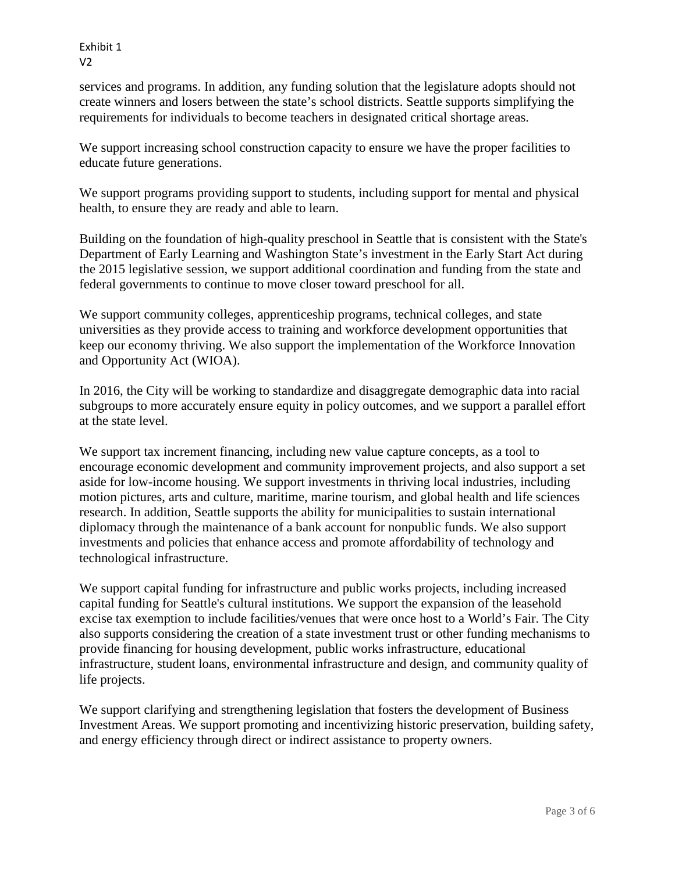services and programs. In addition, any funding solution that the legislature adopts should not create winners and losers between the state's school districts. Seattle supports simplifying the requirements for individuals to become teachers in designated critical shortage areas.

We support increasing school construction capacity to ensure we have the proper facilities to educate future generations.

We support programs providing support to students, including support for mental and physical health, to ensure they are ready and able to learn.

Building on the foundation of high-quality preschool in Seattle that is consistent with the State's Department of Early Learning and Washington State's investment in the Early Start Act during the 2015 legislative session, we support additional coordination and funding from the state and federal governments to continue to move closer toward preschool for all.

We support community colleges, apprenticeship programs, technical colleges, and state universities as they provide access to training and workforce development opportunities that keep our economy thriving. We also support the implementation of the Workforce Innovation and Opportunity Act (WIOA).

In 2016, the City will be working to standardize and disaggregate demographic data into racial subgroups to more accurately ensure equity in policy outcomes, and we support a parallel effort at the state level.

We support tax increment financing, including new value capture concepts, as a tool to encourage economic development and community improvement projects, and also support a set aside for low-income housing. We support investments in thriving local industries, including motion pictures, arts and culture, maritime, marine tourism, and global health and life sciences research. In addition, Seattle supports the ability for municipalities to sustain international diplomacy through the maintenance of a bank account for nonpublic funds. We also support investments and policies that enhance access and promote affordability of technology and technological infrastructure.

We support capital funding for infrastructure and public works projects, including increased capital funding for Seattle's cultural institutions. We support the expansion of the leasehold excise tax exemption to include facilities/venues that were once host to a World's Fair. The City also supports considering the creation of a state investment trust or other funding mechanisms to provide financing for housing development, public works infrastructure, educational infrastructure, student loans, environmental infrastructure and design, and community quality of life projects.

We support clarifying and strengthening legislation that fosters the development of Business Investment Areas. We support promoting and incentivizing historic preservation, building safety, and energy efficiency through direct or indirect assistance to property owners.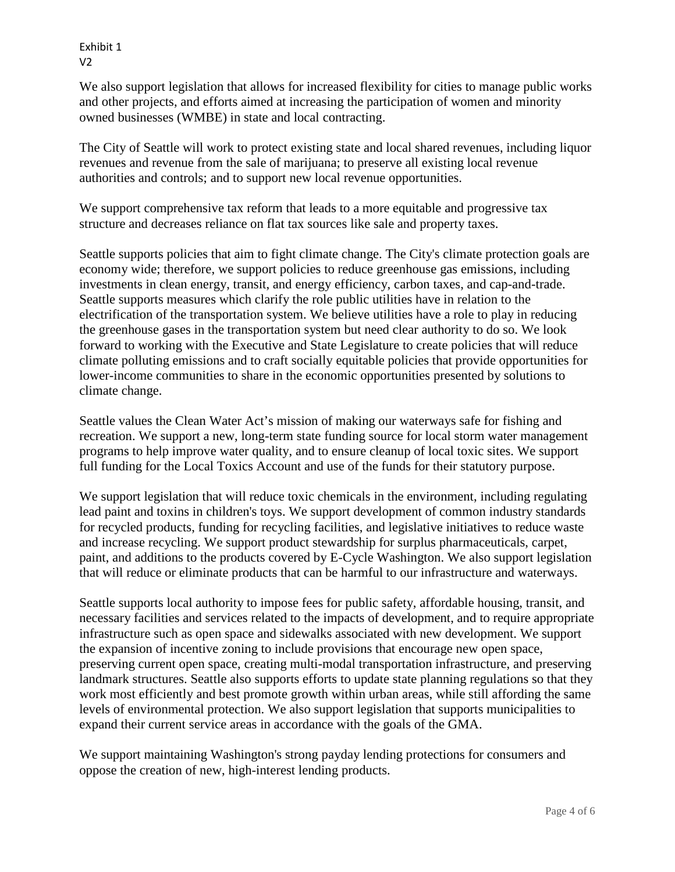We also support legislation that allows for increased flexibility for cities to manage public works and other projects, and efforts aimed at increasing the participation of women and minority owned businesses (WMBE) in state and local contracting.

The City of Seattle will work to protect existing state and local shared revenues, including liquor revenues and revenue from the sale of marijuana; to preserve all existing local revenue authorities and controls; and to support new local revenue opportunities.

We support comprehensive tax reform that leads to a more equitable and progressive tax structure and decreases reliance on flat tax sources like sale and property taxes.

Seattle supports policies that aim to fight climate change. The City's climate protection goals are economy wide; therefore, we support policies to reduce greenhouse gas emissions, including investments in clean energy, transit, and energy efficiency, carbon taxes, and cap-and-trade. Seattle supports measures which clarify the role public utilities have in relation to the electrification of the transportation system. We believe utilities have a role to play in reducing the greenhouse gases in the transportation system but need clear authority to do so. We look forward to working with the Executive and State Legislature to create policies that will reduce climate polluting emissions and to craft socially equitable policies that provide opportunities for lower-income communities to share in the economic opportunities presented by solutions to climate change.

Seattle values the Clean Water Act's mission of making our waterways safe for fishing and recreation. We support a new, long-term state funding source for local storm water management programs to help improve water quality, and to ensure cleanup of local toxic sites. We support full funding for the Local Toxics Account and use of the funds for their statutory purpose.

We support legislation that will reduce toxic chemicals in the environment, including regulating lead paint and toxins in children's toys. We support development of common industry standards for recycled products, funding for recycling facilities, and legislative initiatives to reduce waste and increase recycling. We support product stewardship for surplus pharmaceuticals, carpet, paint, and additions to the products covered by E-Cycle Washington. We also support legislation that will reduce or eliminate products that can be harmful to our infrastructure and waterways.

Seattle supports local authority to impose fees for public safety, affordable housing, transit, and necessary facilities and services related to the impacts of development, and to require appropriate infrastructure such as open space and sidewalks associated with new development. We support the expansion of incentive zoning to include provisions that encourage new open space, preserving current open space, creating multi-modal transportation infrastructure, and preserving landmark structures. Seattle also supports efforts to update state planning regulations so that they work most efficiently and best promote growth within urban areas, while still affording the same levels of environmental protection. We also support legislation that supports municipalities to expand their current service areas in accordance with the goals of the GMA.

We support maintaining Washington's strong payday lending protections for consumers and oppose the creation of new, high-interest lending products.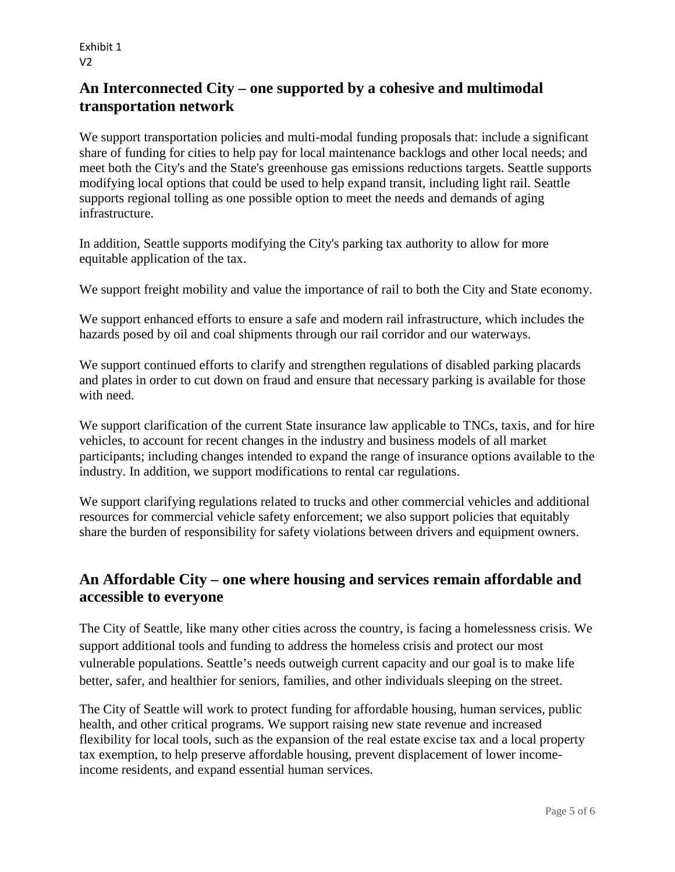# **An Interconnected City – one supported by a cohesive and multimodal transportation network**

We support transportation policies and multi-modal funding proposals that: include a significant share of funding for cities to help pay for local maintenance backlogs and other local needs; and meet both the City's and the State's greenhouse gas emissions reductions targets. Seattle supports modifying local options that could be used to help expand transit, including light rail. Seattle supports regional tolling as one possible option to meet the needs and demands of aging infrastructure.

In addition, Seattle supports modifying the City's parking tax authority to allow for more equitable application of the tax.

We support freight mobility and value the importance of rail to both the City and State economy.

We support enhanced efforts to ensure a safe and modern rail infrastructure, which includes the hazards posed by oil and coal shipments through our rail corridor and our waterways.

We support continued efforts to clarify and strengthen regulations of disabled parking placards and plates in order to cut down on fraud and ensure that necessary parking is available for those with need.

We support clarification of the current State insurance law applicable to TNCs, taxis, and for hire vehicles, to account for recent changes in the industry and business models of all market participants; including changes intended to expand the range of insurance options available to the industry. In addition, we support modifications to rental car regulations.

We support clarifying regulations related to trucks and other commercial vehicles and additional resources for commercial vehicle safety enforcement; we also support policies that equitably share the burden of responsibility for safety violations between drivers and equipment owners.

### **An Affordable City – one where housing and services remain affordable and accessible to everyone**

The City of Seattle, like many other cities across the country, is facing a homelessness crisis. We support additional tools and funding to address the homeless crisis and protect our most vulnerable populations. Seattle's needs outweigh current capacity and our goal is to make life better, safer, and healthier for seniors, families, and other individuals sleeping on the street.

The City of Seattle will work to protect funding for affordable housing, human services, public health, and other critical programs. We support raising new state revenue and increased flexibility for local tools, such as the expansion of the real estate excise tax and a local property tax exemption, to help preserve affordable housing, prevent displacement of lower incomeincome residents, and expand essential human services.